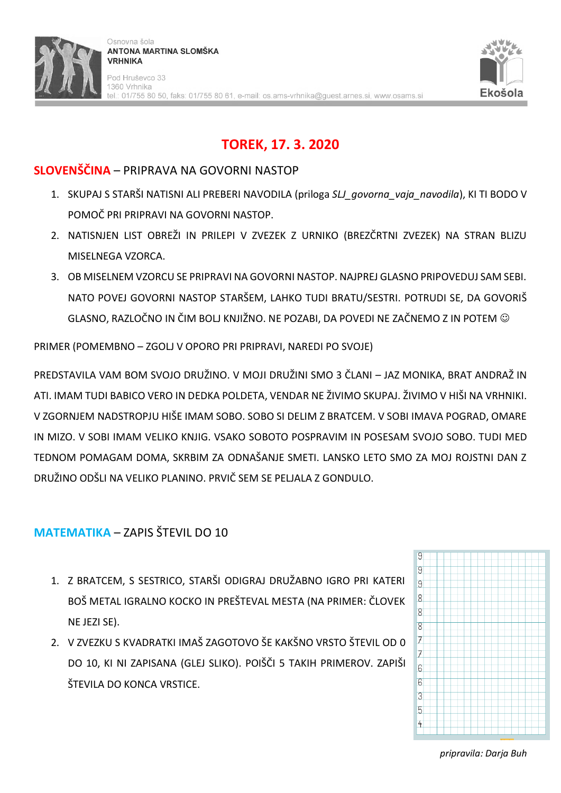

# **TOREK, 17. 3. 2020**

## **SLOVENŠČINA** – PRIPRAVA NA GOVORNI NASTOP

- 1. SKUPAJ S STARŠI NATISNI ALI PREBERI NAVODILA (priloga *SLJ\_govorna\_vaja\_navodila*), KI TI BODO V POMOČ PRI PRIPRAVI NA GOVORNI NASTOP.
- 2. NATISNJEN LIST OBREŽI IN PRILEPI V ZVEZEK Z URNIKO (BREZČRTNI ZVEZEK) NA STRAN BLIZU MISELNEGA VZORCA.
- 3. OB MISELNEM VZORCU SE PRIPRAVI NA GOVORNI NASTOP. NAJPREJ GLASNO PRIPOVEDUJ SAM SEBI. NATO POVEJ GOVORNI NASTOP STARŠEM, LAHKO TUDI BRATU/SESTRI. POTRUDI SE, DA GOVORIŠ GLASNO, RAZLOČNO IN ČIM BOLJ KNJIŽNO. NE POZABI, DA POVEDI NE ZAČNEMO Z IN POTEM

PRIMER (POMEMBNO – ZGOLJ V OPORO PRI PRIPRAVI, NAREDI PO SVOJE)

PREDSTAVILA VAM BOM SVOJO DRUŽINO. V MOJI DRUŽINI SMO 3 ČLANI – JAZ MONIKA, BRAT ANDRAŽ IN ATI. IMAM TUDI BABICO VERO IN DEDKA POLDETA, VENDAR NE ŽIVIMO SKUPAJ. ŽIVIMO V HIŠI NA VRHNIKI. V ZGORNJEM NADSTROPJU HIŠE IMAM SOBO. SOBO SI DELIM Z BRATCEM. V SOBI IMAVA POGRAD, OMARE IN MIZO. V SOBI IMAM VELIKO KNJIG. VSAKO SOBOTO POSPRAVIM IN POSESAM SVOJO SOBO. TUDI MED TEDNOM POMAGAM DOMA, SKRBIM ZA ODNAŠANJE SMETI. LANSKO LETO SMO ZA MOJ ROJSTNI DAN Z DRUŽINO ODŠLI NA VELIKO PLANINO. PRVIČ SEM SE PELJALA Z GONDULO.

# **MATEMATIKA** – ZAPIS ŠTEVIL DO 10

- 1. Z BRATCEM, S SESTRICO, STARŠI ODIGRAJ DRUŽABNO IGRO PRI KATERI BOŠ METAL IGRALNO KOCKO IN PREŠTEVAL MESTA (NA PRIMER: ČLOVEK NE JEZI SE).
- 2. V ZVEZKU S KVADRATKI IMAŠ ZAGOTOVO ŠE KAKŠNO VRSTO ŠTEVIL OD 0 DO 10, KI NI ZAPISANA (GLEJ SLIKO). POIŠČI 5 TAKIH PRIMEROV. ZAPIŠI ŠTEVILA DO KONCA VRSTICE.



*pripravila: Darja Buh*